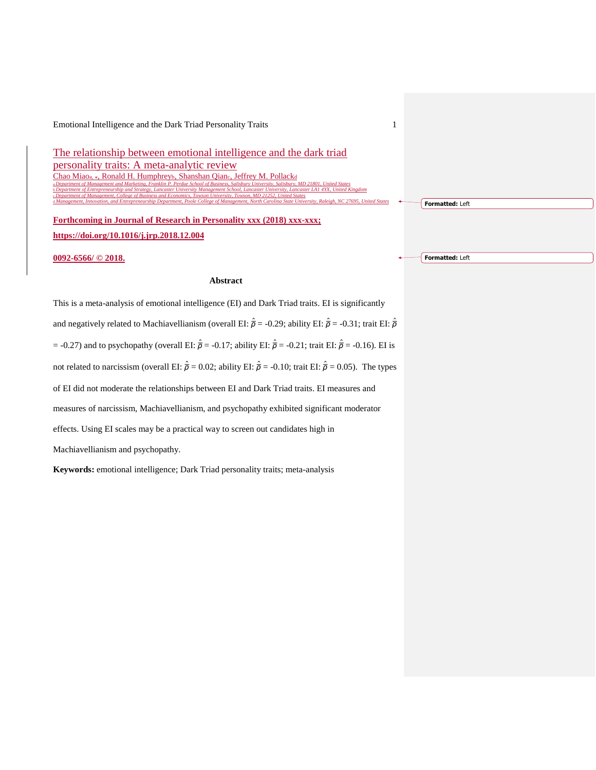The relationship between emotional intelligence and the dark triad personality traits: A meta-analytic review Chao Miaoa, \*, Ronald H. Humphreyb, Shanshan Qianc, Jeffrey M. Pollackd<br>a Department of Management and Marketing, Franklin P. Perchas School of Business, Solisbury University, Solisbury a *Department of Management and Marketing, Franklin P. Perdue School of Business, Salisbury University, Salisbury, MD 21801, United States* b *Department of Entrepreneurship and Strategy, Lancaster University Management School, Lancaster University, Lancaster LA1 4YX, United Kingdom* nt, College of Business and Economics, Towson University, Towson, MD 21252, United States<br>and Entrepreneurship Department, Poole College of Management, North Carolina State Univ

d *Management, Innovation, and Entrepreneurship Department, Poole College of Management, North Carolina State University, Raleigh, NC 27695, United States*

**Forthcoming in Journal of Research in Personality xxx (2018) xxx-xxx; https://doi.org/10.1016/j.jrp.2018.12.004**

**0092-6566/ © 2018.**

### **Abstract**

This is a meta-analysis of emotional intelligence (EI) and Dark Triad traits. EI is significantly and negatively related to Machiavellianism (overall EI:  $\hat{\bar{\rho}}$  = -0.29; ability EI:  $\hat{\bar{\rho}}$  = -0.31; trait EI:  $\hat{\bar{\rho}}$ = -0.27) and to psychopathy (overall EI: *ρ*̅ ̂= -0.17; ability EI: *ρ*̅ ̂= -0.21; trait EI: *ρ*̅ ̂= -0.16). EI is not related to narcissism (overall EI:  $\hat{\vec{p}} = 0.02$ ; ability EI:  $\hat{\vec{p}} = -0.10$ ; trait EI:  $\hat{\vec{p}} = 0.05$ ). The types of EI did not moderate the relationships between EI and Dark Triad traits. EI measures and measures of narcissism, Machiavellianism, and psychopathy exhibited significant moderator effects. Using EI scales may be a practical way to screen out candidates high in Machiavellianism and psychopathy.

**Keywords:** emotional intelligence; Dark Triad personality traits; meta-analysis

**Formatted:** Left

**Formatted:** Left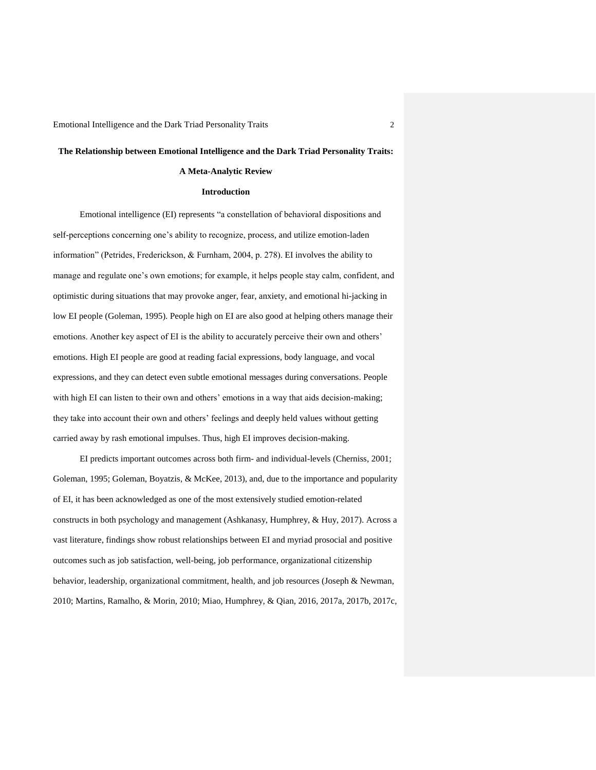# **The Relationship between Emotional Intelligence and the Dark Triad Personality Traits:**

# **A Meta-Analytic Review**

## **Introduction**

Emotional intelligence (EI) represents "a constellation of behavioral dispositions and self-perceptions concerning one's ability to recognize, process, and utilize emotion-laden information" (Petrides, Frederickson, & Furnham, 2004, p. 278). EI involves the ability to manage and regulate one's own emotions; for example, it helps people stay calm, confident, and optimistic during situations that may provoke anger, fear, anxiety, and emotional hi-jacking in low EI people (Goleman, 1995). People high on EI are also good at helping others manage their emotions. Another key aspect of EI is the ability to accurately perceive their own and others' emotions. High EI people are good at reading facial expressions, body language, and vocal expressions, and they can detect even subtle emotional messages during conversations. People with high EI can listen to their own and others' emotions in a way that aids decision-making; they take into account their own and others' feelings and deeply held values without getting carried away by rash emotional impulses. Thus, high EI improves decision-making.

EI predicts important outcomes across both firm- and individual-levels (Cherniss, 2001; Goleman, 1995; Goleman, Boyatzis, & McKee, 2013), and, due to the importance and popularity of EI, it has been acknowledged as one of the most extensively studied emotion-related constructs in both psychology and management (Ashkanasy, Humphrey, & Huy, 2017). Across a vast literature, findings show robust relationships between EI and myriad prosocial and positive outcomes such as job satisfaction, well-being, job performance, organizational citizenship behavior, leadership, organizational commitment, health, and job resources (Joseph & Newman, 2010; Martins, Ramalho, & Morin, 2010; Miao, Humphrey, & Qian, 2016, 2017a, 2017b, 2017c,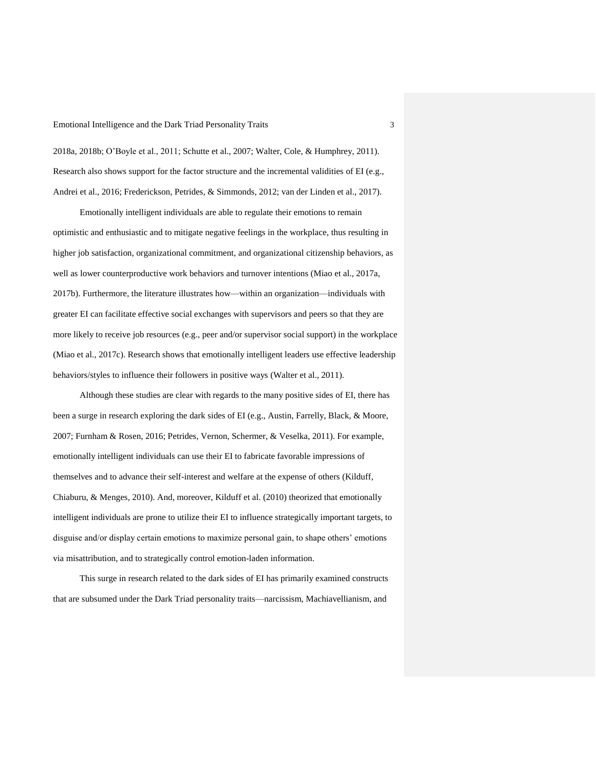2018a, 2018b; O'Boyle et al., 2011; Schutte et al., 2007; Walter, Cole, & Humphrey, 2011). Research also shows support for the factor structure and the incremental validities of EI (e.g., Andrei et al., 2016; Frederickson, Petrides, & Simmonds, 2012; van der Linden et al., 2017).

Emotionally intelligent individuals are able to regulate their emotions to remain optimistic and enthusiastic and to mitigate negative feelings in the workplace, thus resulting in higher job satisfaction, organizational commitment, and organizational citizenship behaviors, as well as lower counterproductive work behaviors and turnover intentions (Miao et al., 2017a, 2017b). Furthermore, the literature illustrates how—within an organization—individuals with greater EI can facilitate effective social exchanges with supervisors and peers so that they are more likely to receive job resources (e.g., peer and/or supervisor social support) in the workplace (Miao et al., 2017c). Research shows that emotionally intelligent leaders use effective leadership behaviors/styles to influence their followers in positive ways (Walter et al., 2011).

Although these studies are clear with regards to the many positive sides of EI, there has been a surge in research exploring the dark sides of EI (e.g., Austin, Farrelly, Black, & Moore, 2007; Furnham & Rosen, 2016; Petrides, Vernon, Schermer, & Veselka, 2011). For example, emotionally intelligent individuals can use their EI to fabricate favorable impressions of themselves and to advance their self-interest and welfare at the expense of others (Kilduff, Chiaburu, & Menges, 2010). And, moreover, Kilduff et al. (2010) theorized that emotionally intelligent individuals are prone to utilize their EI to influence strategically important targets, to disguise and/or display certain emotions to maximize personal gain, to shape others' emotions via misattribution, and to strategically control emotion-laden information.

This surge in research related to the dark sides of EI has primarily examined constructs that are subsumed under the Dark Triad personality traits—narcissism, Machiavellianism, and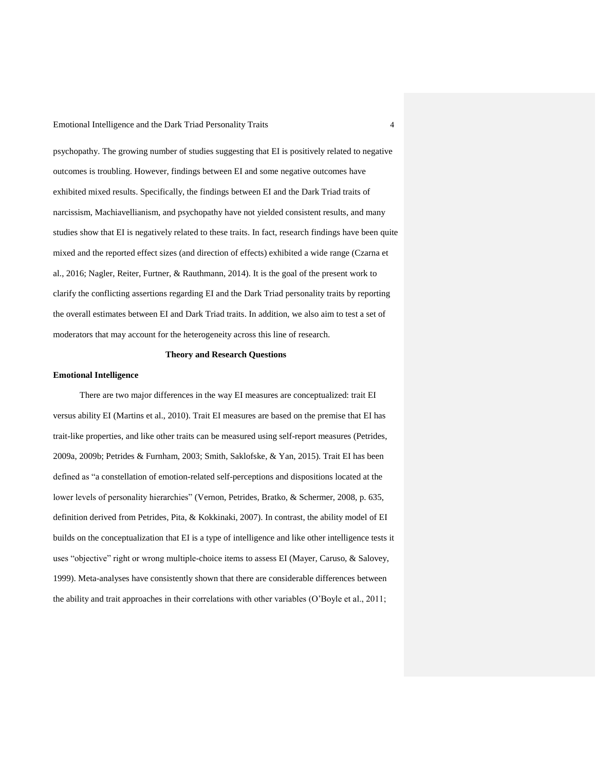psychopathy. The growing number of studies suggesting that EI is positively related to negative outcomes is troubling. However, findings between EI and some negative outcomes have exhibited mixed results. Specifically, the findings between EI and the Dark Triad traits of narcissism, Machiavellianism, and psychopathy have not yielded consistent results, and many studies show that EI is negatively related to these traits. In fact, research findings have been quite mixed and the reported effect sizes (and direction of effects) exhibited a wide range (Czarna et al., 2016; Nagler, Reiter, Furtner, & Rauthmann, 2014). It is the goal of the present work to clarify the conflicting assertions regarding EI and the Dark Triad personality traits by reporting the overall estimates between EI and Dark Triad traits. In addition, we also aim to test a set of moderators that may account for the heterogeneity across this line of research.

# **Theory and Research Questions**

### **Emotional Intelligence**

There are two major differences in the way EI measures are conceptualized: trait EI versus ability EI (Martins et al., 2010). Trait EI measures are based on the premise that EI has trait-like properties, and like other traits can be measured using self-report measures (Petrides, 2009a, 2009b; Petrides & Furnham, 2003; Smith, Saklofske, & Yan, 2015). Trait EI has been defined as "a constellation of emotion-related self-perceptions and dispositions located at the lower levels of personality hierarchies" (Vernon, Petrides, Bratko, & Schermer, 2008, p. 635, definition derived from Petrides, Pita, & Kokkinaki, 2007). In contrast, the ability model of EI builds on the conceptualization that EI is a type of intelligence and like other intelligence tests it uses "objective" right or wrong multiple-choice items to assess EI (Mayer, Caruso, & Salovey, 1999). Meta-analyses have consistently shown that there are considerable differences between the ability and trait approaches in their correlations with other variables (O'Boyle et al., 2011;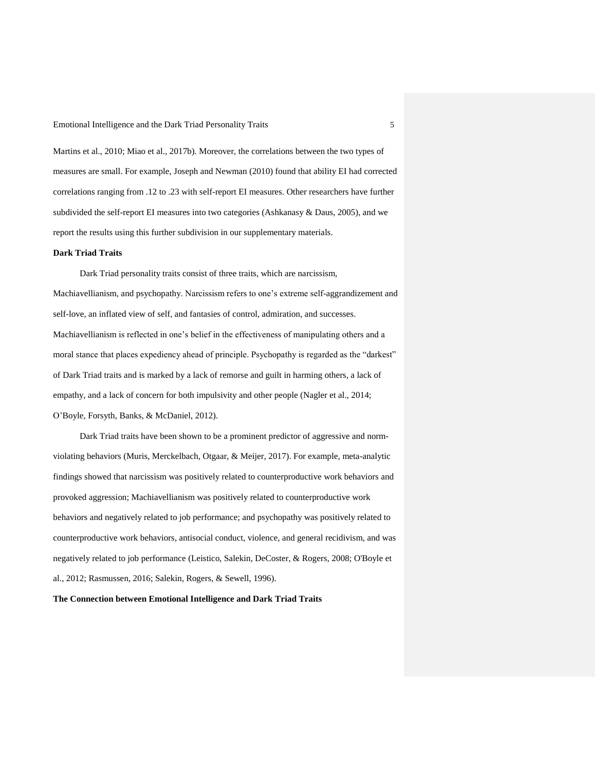Martins et al., 2010; Miao et al., 2017b). Moreover, the correlations between the two types of measures are small. For example, Joseph and Newman (2010) found that ability EI had corrected correlations ranging from .12 to .23 with self-report EI measures. Other researchers have further subdivided the self-report EI measures into two categories (Ashkanasy & Daus, 2005), and we report the results using this further subdivision in our supplementary materials.

### **Dark Triad Traits**

Dark Triad personality traits consist of three traits, which are narcissism, Machiavellianism, and psychopathy. Narcissism refers to one's extreme self-aggrandizement and self-love, an inflated view of self, and fantasies of control, admiration, and successes. Machiavellianism is reflected in one's belief in the effectiveness of manipulating others and a moral stance that places expediency ahead of principle. Psychopathy is regarded as the "darkest" of Dark Triad traits and is marked by a lack of remorse and guilt in harming others, a lack of empathy, and a lack of concern for both impulsivity and other people (Nagler et al., 2014; O'Boyle, Forsyth, Banks, & McDaniel, 2012).

Dark Triad traits have been shown to be a prominent predictor of aggressive and normviolating behaviors (Muris, Merckelbach, Otgaar, & Meijer, 2017). For example, meta-analytic findings showed that narcissism was positively related to counterproductive work behaviors and provoked aggression; Machiavellianism was positively related to counterproductive work behaviors and negatively related to job performance; and psychopathy was positively related to counterproductive work behaviors, antisocial conduct, violence, and general recidivism, and was negatively related to job performance (Leistico, Salekin, DeCoster, & Rogers, 2008; O'Boyle et al., 2012; Rasmussen, 2016; Salekin, Rogers, & Sewell, 1996).

**The Connection between Emotional Intelligence and Dark Triad Traits**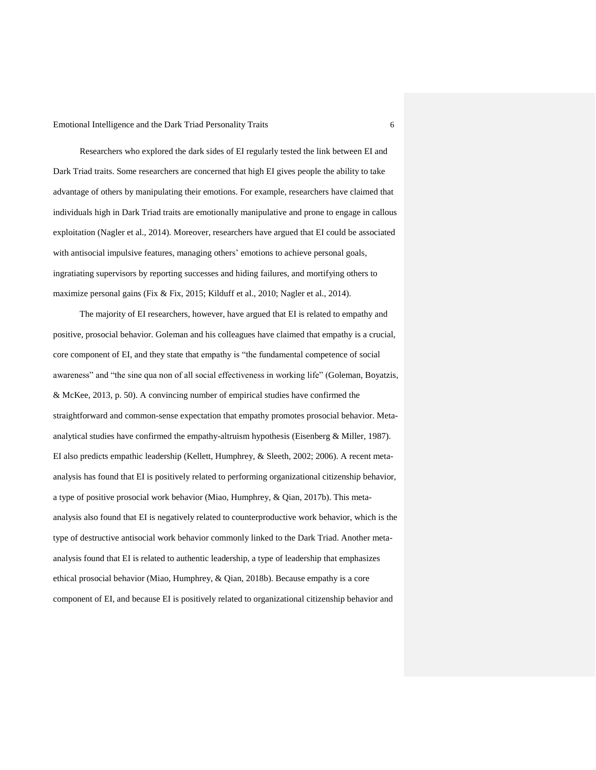Researchers who explored the dark sides of EI regularly tested the link between EI and Dark Triad traits. Some researchers are concerned that high EI gives people the ability to take advantage of others by manipulating their emotions. For example, researchers have claimed that individuals high in Dark Triad traits are emotionally manipulative and prone to engage in callous exploitation (Nagler et al., 2014). Moreover, researchers have argued that EI could be associated with antisocial impulsive features, managing others' emotions to achieve personal goals, ingratiating supervisors by reporting successes and hiding failures, and mortifying others to maximize personal gains (Fix & Fix, 2015; Kilduff et al., 2010; Nagler et al., 2014).

The majority of EI researchers, however, have argued that EI is related to empathy and positive, prosocial behavior. Goleman and his colleagues have claimed that empathy is a crucial, core component of EI, and they state that empathy is "the fundamental competence of social awareness" and "the sine qua non of all social effectiveness in working life" (Goleman, Boyatzis, & McKee, 2013, p. 50). A convincing number of empirical studies have confirmed the straightforward and common-sense expectation that empathy promotes prosocial behavior. Metaanalytical studies have confirmed the empathy-altruism hypothesis (Eisenberg  $&$  Miller, 1987). EI also predicts empathic leadership (Kellett, Humphrey, & Sleeth, 2002; 2006). A recent metaanalysis has found that EI is positively related to performing organizational citizenship behavior, a type of positive prosocial work behavior (Miao, Humphrey, & Qian, 2017b). This metaanalysis also found that EI is negatively related to counterproductive work behavior, which is the type of destructive antisocial work behavior commonly linked to the Dark Triad. Another metaanalysis found that EI is related to authentic leadership, a type of leadership that emphasizes ethical prosocial behavior (Miao, Humphrey, & Qian, 2018b). Because empathy is a core component of EI, and because EI is positively related to organizational citizenship behavior and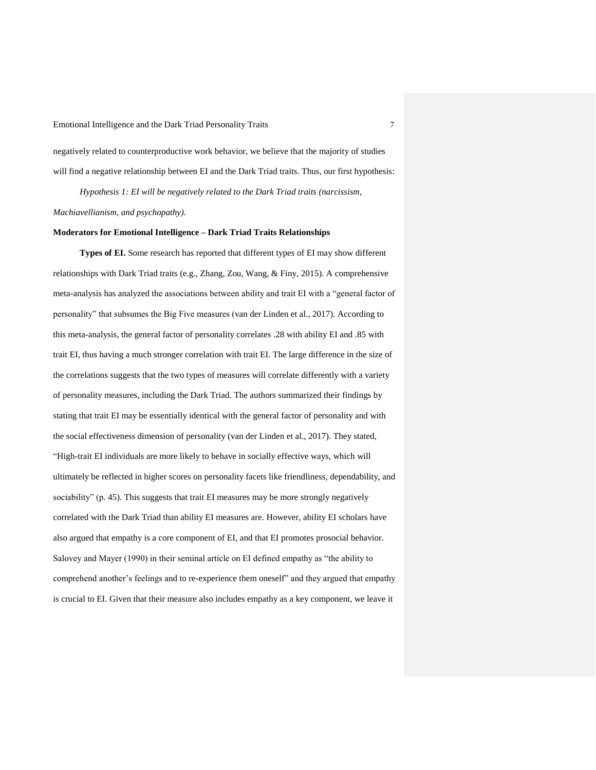negatively related to counterproductive work behavior, we believe that the majority of studies will find a negative relationship between EI and the Dark Triad traits. Thus, our first hypothesis:

*Hypothesis 1: EI will be negatively related to the Dark Triad traits (narcissism, Machiavellianism, and psychopathy).*

#### **Moderators for Emotional Intelligence – Dark Triad Traits Relationships**

**Types of EI.** Some research has reported that different types of EI may show different relationships with Dark Triad traits (e.g., Zhang, Zou, Wang, & Finy, 2015). A comprehensive meta-analysis has analyzed the associations between ability and trait EI with a "general factor of personality" that subsumes the Big Five measures (van der Linden et al., 2017). According to this meta-analysis, the general factor of personality correlates .28 with ability EI and .85 with trait EI, thus having a much stronger correlation with trait EI. The large difference in the size of the correlations suggests that the two types of measures will correlate differently with a variety of personality measures, including the Dark Triad. The authors summarized their findings by stating that trait EI may be essentially identical with the general factor of personality and with the social effectiveness dimension of personality (van der Linden et al., 2017). They stated, "High-trait EI individuals are more likely to behave in socially effective ways, which will ultimately be reflected in higher scores on personality facets like friendliness, dependability, and sociability" (p. 45). This suggests that trait EI measures may be more strongly negatively correlated with the Dark Triad than ability EI measures are. However, ability EI scholars have also argued that empathy is a core component of EI, and that EI promotes prosocial behavior. Salovey and Mayer (1990) in their seminal article on EI defined empathy as "the ability to comprehend another's feelings and to re-experience them oneself" and they argued that empathy is crucial to EI. Given that their measure also includes empathy as a key component, we leave it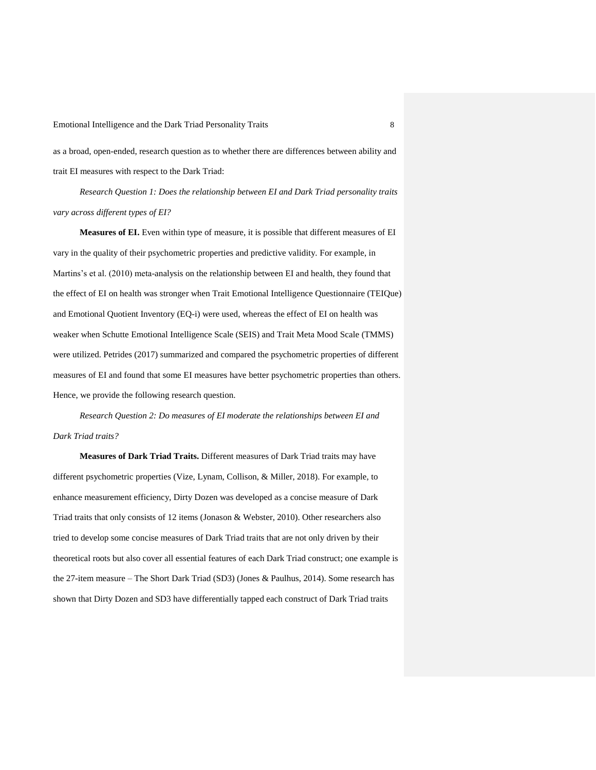as a broad, open-ended, research question as to whether there are differences between ability and trait EI measures with respect to the Dark Triad:

*Research Question 1: Does the relationship between EI and Dark Triad personality traits vary across different types of EI?*

**Measures of EI.** Even within type of measure, it is possible that different measures of EI vary in the quality of their psychometric properties and predictive validity. For example, in Martins's et al. (2010) meta-analysis on the relationship between EI and health, they found that the effect of EI on health was stronger when Trait Emotional Intelligence Questionnaire (TEIQue) and Emotional Quotient Inventory (EQ-i) were used, whereas the effect of EI on health was weaker when Schutte Emotional Intelligence Scale (SEIS) and Trait Meta Mood Scale (TMMS) were utilized. Petrides (2017) summarized and compared the psychometric properties of different measures of EI and found that some EI measures have better psychometric properties than others. Hence, we provide the following research question.

*Research Question 2: Do measures of EI moderate the relationships between EI and Dark Triad traits?*

**Measures of Dark Triad Traits.** Different measures of Dark Triad traits may have different psychometric properties (Vize, Lynam, Collison, & Miller, 2018). For example, to enhance measurement efficiency, Dirty Dozen was developed as a concise measure of Dark Triad traits that only consists of 12 items (Jonason & Webster, 2010). Other researchers also tried to develop some concise measures of Dark Triad traits that are not only driven by their theoretical roots but also cover all essential features of each Dark Triad construct; one example is the 27-item measure – The Short Dark Triad (SD3) (Jones & Paulhus, 2014). Some research has shown that Dirty Dozen and SD3 have differentially tapped each construct of Dark Triad traits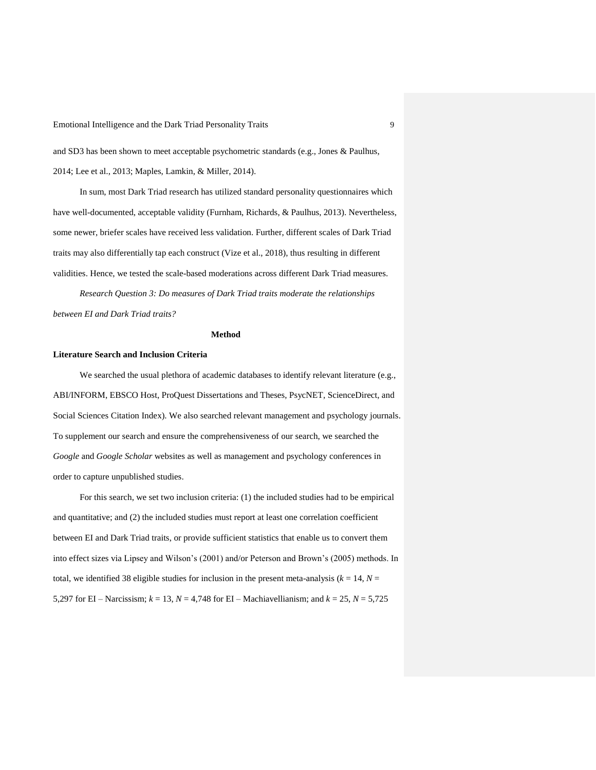and SD3 has been shown to meet acceptable psychometric standards (e.g., Jones & Paulhus, 2014; Lee et al., 2013; Maples, Lamkin, & Miller, 2014).

In sum, most Dark Triad research has utilized standard personality questionnaires which have well-documented, acceptable validity (Furnham, Richards, & Paulhus, 2013). Nevertheless, some newer, briefer scales have received less validation. Further, different scales of Dark Triad traits may also differentially tap each construct (Vize et al., 2018), thus resulting in different validities. Hence, we tested the scale-based moderations across different Dark Triad measures.

*Research Question 3: Do measures of Dark Triad traits moderate the relationships between EI and Dark Triad traits?*

### **Method**

## **Literature Search and Inclusion Criteria**

We searched the usual plethora of academic databases to identify relevant literature (e.g., ABI/INFORM, EBSCO Host, ProQuest Dissertations and Theses, PsycNET, ScienceDirect, and Social Sciences Citation Index). We also searched relevant management and psychology journals. To supplement our search and ensure the comprehensiveness of our search, we searched the *Google* and *Google Scholar* websites as well as management and psychology conferences in order to capture unpublished studies.

For this search, we set two inclusion criteria: (1) the included studies had to be empirical and quantitative; and (2) the included studies must report at least one correlation coefficient between EI and Dark Triad traits, or provide sufficient statistics that enable us to convert them into effect sizes via Lipsey and Wilson's (2001) and/or Peterson and Brown's (2005) methods. In total, we identified 38 eligible studies for inclusion in the present meta-analysis ( $k = 14$ ,  $N =$ 5,297 for EI – Narcissism;  $k = 13$ ,  $N = 4,748$  for EI – Machiavellianism; and  $k = 25$ ,  $N = 5,725$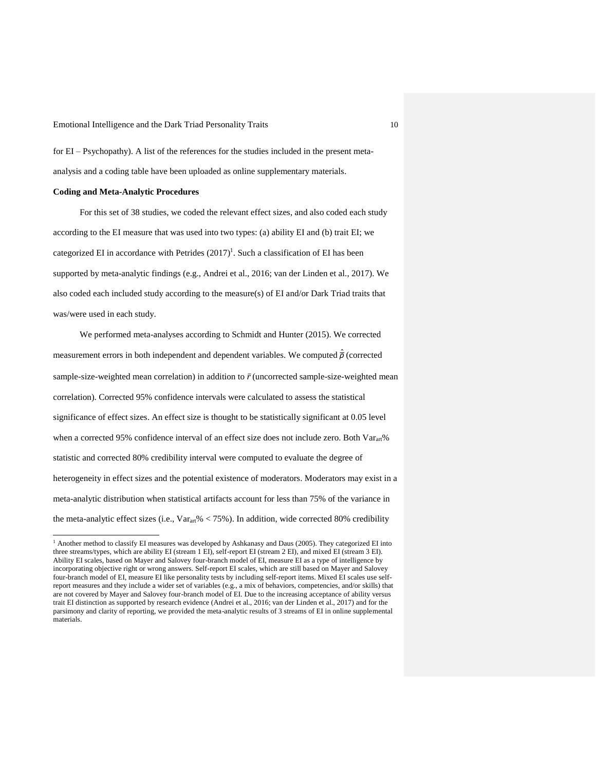for EI – Psychopathy). A list of the references for the studies included in the present metaanalysis and a coding table have been uploaded as online supplementary materials.

## **Coding and Meta-Analytic Procedures**

 $\overline{a}$ 

For this set of 38 studies, we coded the relevant effect sizes, and also coded each study according to the EI measure that was used into two types: (a) ability EI and (b) trait EI; we categorized EI in accordance with Petrides  $(2017)^1$ . Such a classification of EI has been supported by meta-analytic findings (e.g., Andrei et al., 2016; van der Linden et al., 2017). We also coded each included study according to the measure(s) of EI and/or Dark Triad traits that was/were used in each study.

We performed meta-analyses according to Schmidt and Hunter (2015). We corrected measurement errors in both independent and dependent variables. We computed  $\hat{\bar{\rho}}$  (corrected sample-size-weighted mean correlation) in addition to  $\bar{r}$  (uncorrected sample-size-weighted mean correlation). Corrected 95% confidence intervals were calculated to assess the statistical significance of effect sizes. An effect size is thought to be statistically significant at 0.05 level when a corrected 95% confidence interval of an effect size does not include zero. Both Varart% statistic and corrected 80% credibility interval were computed to evaluate the degree of heterogeneity in effect sizes and the potential existence of moderators. Moderators may exist in a meta-analytic distribution when statistical artifacts account for less than 75% of the variance in the meta-analytic effect sizes (i.e.,  $Var_{art} % < 75%$ ). In addition, wide corrected 80% credibility

 $^1$  Another method to classify EI measures was developed by Ashkanasy and Daus (2005). They categorized EI into three streams/types, which are ability EI (stream 1 EI), self-report EI (stream 2 EI), and mixed EI (stream 3 EI). Ability EI scales, based on Mayer and Salovey four-branch model of EI, measure EI as a type of intelligence by incorporating objective right or wrong answers. Self-report EI scales, which are still based on Mayer and Salovey four-branch model of EI, measure EI like personality tests by including self-report items. Mixed EI scales use selfreport measures and they include a wider set of variables (e.g., a mix of behaviors, competencies, and/or skills) that are not covered by Mayer and Salovey four-branch model of EI. Due to the increasing acceptance of ability versus trait EI distinction as supported by research evidence (Andrei et al., 2016; van der Linden et al., 2017) and for the parsimony and clarity of reporting, we provided the meta-analytic results of 3 streams of EI in online supplemental materials.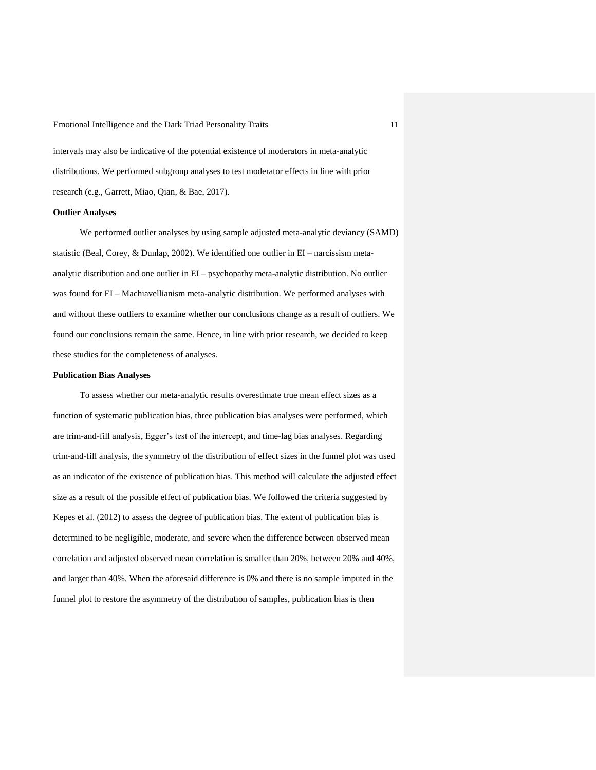intervals may also be indicative of the potential existence of moderators in meta-analytic distributions. We performed subgroup analyses to test moderator effects in line with prior research (e.g., Garrett, Miao, Qian, & Bae, 2017).

### **Outlier Analyses**

We performed outlier analyses by using sample adjusted meta-analytic deviancy (SAMD) statistic (Beal, Corey, & Dunlap, 2002). We identified one outlier in EI – narcissism metaanalytic distribution and one outlier in EI – psychopathy meta-analytic distribution. No outlier was found for EI – Machiavellianism meta-analytic distribution. We performed analyses with and without these outliers to examine whether our conclusions change as a result of outliers. We found our conclusions remain the same. Hence, in line with prior research, we decided to keep these studies for the completeness of analyses.

### **Publication Bias Analyses**

To assess whether our meta-analytic results overestimate true mean effect sizes as a function of systematic publication bias, three publication bias analyses were performed, which are trim-and-fill analysis, Egger's test of the intercept, and time-lag bias analyses. Regarding trim-and-fill analysis, the symmetry of the distribution of effect sizes in the funnel plot was used as an indicator of the existence of publication bias. This method will calculate the adjusted effect size as a result of the possible effect of publication bias. We followed the criteria suggested by Kepes et al. (2012) to assess the degree of publication bias. The extent of publication bias is determined to be negligible, moderate, and severe when the difference between observed mean correlation and adjusted observed mean correlation is smaller than 20%, between 20% and 40%, and larger than 40%. When the aforesaid difference is 0% and there is no sample imputed in the funnel plot to restore the asymmetry of the distribution of samples, publication bias is then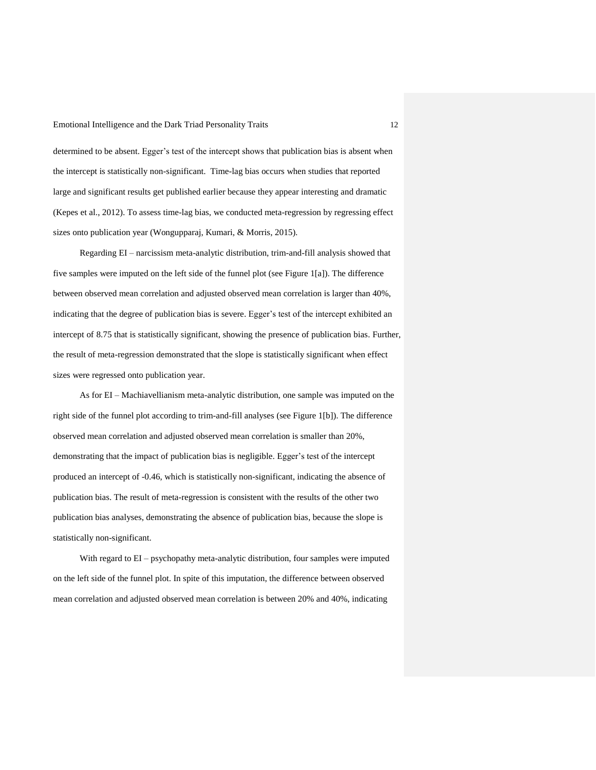determined to be absent. Egger's test of the intercept shows that publication bias is absent when the intercept is statistically non-significant. Time-lag bias occurs when studies that reported large and significant results get published earlier because they appear interesting and dramatic (Kepes et al., 2012). To assess time-lag bias, we conducted meta-regression by regressing effect sizes onto publication year (Wongupparaj, Kumari, & Morris, 2015).

Regarding EI – narcissism meta-analytic distribution, trim-and-fill analysis showed that five samples were imputed on the left side of the funnel plot (see Figure 1[a]). The difference between observed mean correlation and adjusted observed mean correlation is larger than 40%, indicating that the degree of publication bias is severe. Egger's test of the intercept exhibited an intercept of 8.75 that is statistically significant, showing the presence of publication bias. Further, the result of meta-regression demonstrated that the slope is statistically significant when effect sizes were regressed onto publication year.

As for EI – Machiavellianism meta-analytic distribution, one sample was imputed on the right side of the funnel plot according to trim-and-fill analyses (see Figure 1[b]). The difference observed mean correlation and adjusted observed mean correlation is smaller than 20%, demonstrating that the impact of publication bias is negligible. Egger's test of the intercept produced an intercept of -0.46, which is statistically non-significant, indicating the absence of publication bias. The result of meta-regression is consistent with the results of the other two publication bias analyses, demonstrating the absence of publication bias, because the slope is statistically non-significant.

With regard to EI – psychopathy meta-analytic distribution, four samples were imputed on the left side of the funnel plot. In spite of this imputation, the difference between observed mean correlation and adjusted observed mean correlation is between 20% and 40%, indicating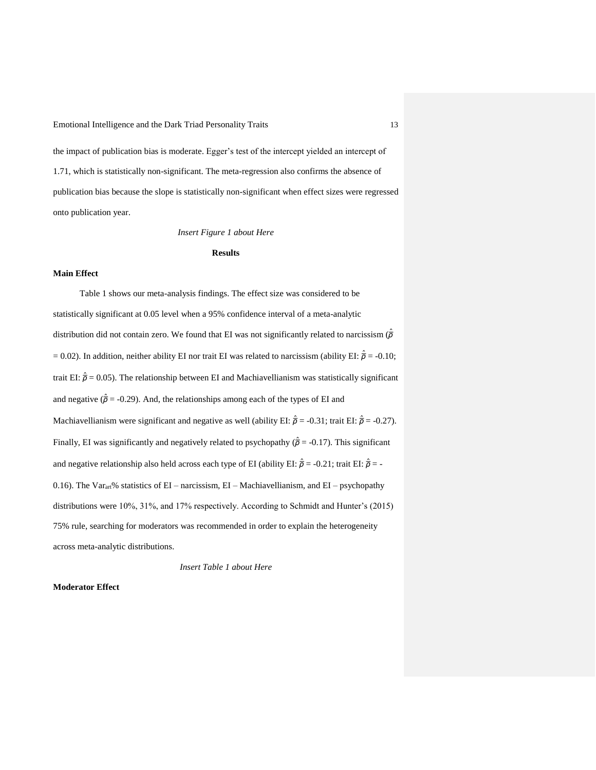the impact of publication bias is moderate. Egger's test of the intercept yielded an intercept of 1.71, which is statistically non-significant. The meta-regression also confirms the absence of publication bias because the slope is statistically non-significant when effect sizes were regressed onto publication year.

*Insert Figure 1 about Here*

#### **Results**

# **Main Effect**

Table 1 shows our meta-analysis findings. The effect size was considered to be statistically significant at 0.05 level when a 95% confidence interval of a meta-analytic distribution did not contain zero. We found that EI was not significantly related to narcissism ( $\hat{\bar{\rho}}$  $= 0.02$ ). In addition, neither ability EI nor trait EI was related to narcissism (ability EI:  $\hat{\vec{\rho}} = -0.10$ ; trait EI:  $\hat{\vec{\rho}} = 0.05$ ). The relationship between EI and Machiavellianism was statistically significant and negative  $(\hat{\overline{\rho}} = -0.29)$ . And, the relationships among each of the types of EI and Machiavellianism were significant and negative as well (ability EI:  $\hat{\vec{p}} = -0.31$ ; trait EI:  $\hat{\vec{p}} = -0.27$ ). Finally, EI was significantly and negatively related to psychopathy  $(\hat{\rho} = -0.17)$ . This significant and negative relationship also held across each type of EI (ability EI:  $\hat{\bar{\rho}}$  = -0.21; trait EI:  $\hat{\bar{\rho}}$  = -0.16). The Var<sub>art</sub>% statistics of EI – narcissism, EI – Machiavellianism, and EI – psychopathy distributions were 10%, 31%, and 17% respectively. According to Schmidt and Hunter's (2015) 75% rule, searching for moderators was recommended in order to explain the heterogeneity across meta-analytic distributions.

*Insert Table 1 about Here*

### **Moderator Effect**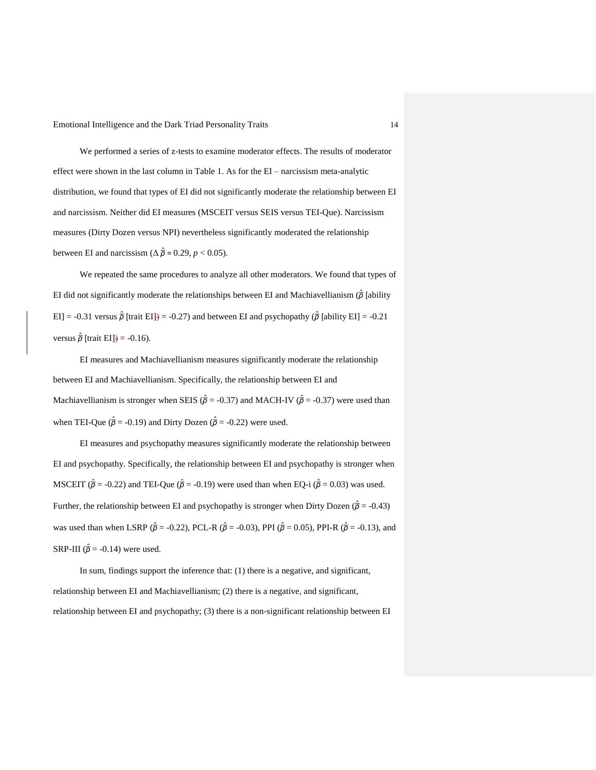We performed a series of z-tests to examine moderator effects. The results of moderator effect were shown in the last column in Table 1. As for the EI – narcissism meta-analytic distribution, we found that types of EI did not significantly moderate the relationship between EI and narcissism. Neither did EI measures (MSCEIT versus SEIS versus TEI-Que). Narcissism measures (Dirty Dozen versus NPI) nevertheless significantly moderated the relationship between EI and narcissism ( $\Delta \hat{\vec{p}} = 0.29$ ,  $p < 0.05$ ).

We repeated the same procedures to analyze all other moderators. We found that types of EI did not significantly moderate the relationships between EI and Machiavellianism (*ρ*̅ ̂ [ability EI] = -0.31 versus  $\hat{\overline{\rho}}$  [trait EI]) = -0.27) and between EI and psychopathy ( $\hat{\overline{\rho}}$  [ability EI] = -0.21 versus  $\hat{\overline{\rho}}$  [trait EI]<del>)</del> = -0.16).

EI measures and Machiavellianism measures significantly moderate the relationship between EI and Machiavellianism. Specifically, the relationship between EI and Machiavellianism is stronger when SEIS ( $\hat{\vec{\rho}}$  = -0.37) and MACH-IV ( $\hat{\vec{\rho}}$  = -0.37) were used than when TEI-Que ( $\hat{\vec{\rho}}$  = -0.19) and Dirty Dozen ( $\hat{\vec{\rho}}$  = -0.22) were used.

EI measures and psychopathy measures significantly moderate the relationship between EI and psychopathy. Specifically, the relationship between EI and psychopathy is stronger when MSCEIT ( $\hat{\vec{p}}$  = -0.22) and TEI-Que ( $\hat{\vec{p}}$  = -0.19) were used than when EQ-i ( $\hat{\vec{p}}$  = 0.03) was used. Further, the relationship between EI and psychopathy is stronger when Dirty Dozen ( $\hat{\vec{\rho}}$  = -0.43) was used than when LSRP ( $\hat{\vec{\rho}}$  = -0.22), PCL-R ( $\hat{\vec{\rho}}$  = -0.03), PPI ( $\hat{\vec{\rho}}$  = 0.05), PPI-R ( $\hat{\vec{\rho}}$  = -0.13), and SRP-III ( $\hat{\overline{\rho}}$  = -0.14) were used.

In sum, findings support the inference that: (1) there is a negative, and significant, relationship between EI and Machiavellianism; (2) there is a negative, and significant, relationship between EI and psychopathy; (3) there is a non-significant relationship between EI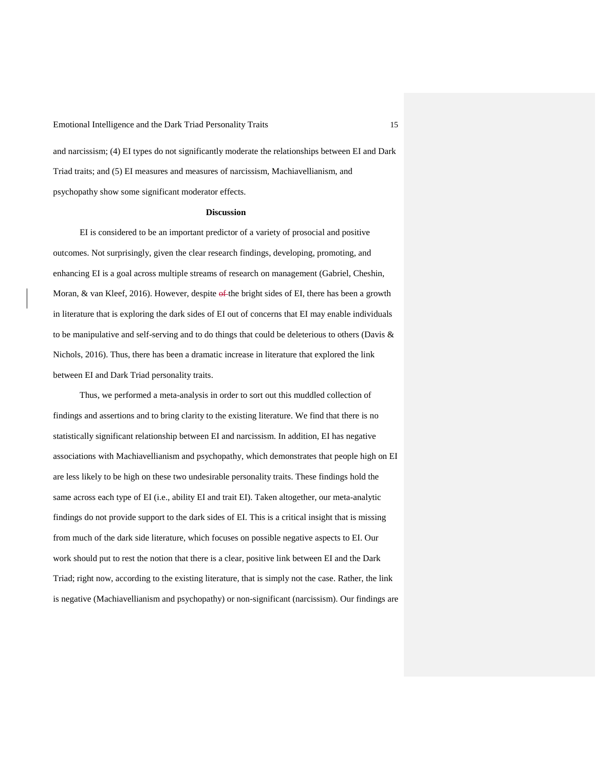and narcissism; (4) EI types do not significantly moderate the relationships between EI and Dark Triad traits; and (5) EI measures and measures of narcissism, Machiavellianism, and psychopathy show some significant moderator effects.

### **Discussion**

EI is considered to be an important predictor of a variety of prosocial and positive outcomes. Not surprisingly, given the clear research findings, developing, promoting, and enhancing EI is a goal across multiple streams of research on management (Gabriel, Cheshin, Moran, & van Kleef, 2016). However, despite of the bright sides of EI, there has been a growth in literature that is exploring the dark sides of EI out of concerns that EI may enable individuals to be manipulative and self-serving and to do things that could be deleterious to others (Davis & Nichols, 2016). Thus, there has been a dramatic increase in literature that explored the link between EI and Dark Triad personality traits.

Thus, we performed a meta-analysis in order to sort out this muddled collection of findings and assertions and to bring clarity to the existing literature. We find that there is no statistically significant relationship between EI and narcissism. In addition, EI has negative associations with Machiavellianism and psychopathy, which demonstrates that people high on EI are less likely to be high on these two undesirable personality traits. These findings hold the same across each type of EI (i.e., ability EI and trait EI). Taken altogether, our meta-analytic findings do not provide support to the dark sides of EI. This is a critical insight that is missing from much of the dark side literature, which focuses on possible negative aspects to EI. Our work should put to rest the notion that there is a clear, positive link between EI and the Dark Triad; right now, according to the existing literature, that is simply not the case. Rather, the link is negative (Machiavellianism and psychopathy) or non-significant (narcissism). Our findings are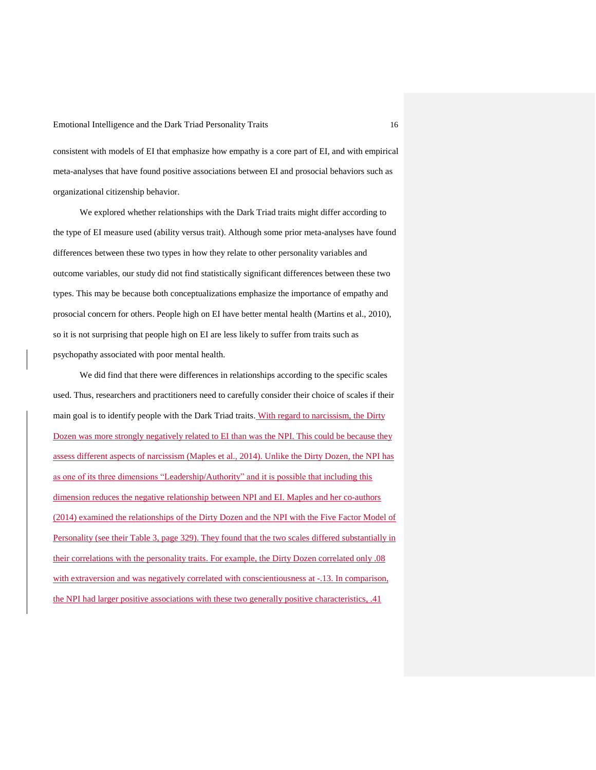consistent with models of EI that emphasize how empathy is a core part of EI, and with empirical meta-analyses that have found positive associations between EI and prosocial behaviors such as organizational citizenship behavior.

We explored whether relationships with the Dark Triad traits might differ according to the type of EI measure used (ability versus trait). Although some prior meta-analyses have found differences between these two types in how they relate to other personality variables and outcome variables, our study did not find statistically significant differences between these two types. This may be because both conceptualizations emphasize the importance of empathy and prosocial concern for others. People high on EI have better mental health (Martins et al., 2010), so it is not surprising that people high on EI are less likely to suffer from traits such as psychopathy associated with poor mental health.

We did find that there were differences in relationships according to the specific scales used. Thus, researchers and practitioners need to carefully consider their choice of scales if their main goal is to identify people with the Dark Triad traits. With regard to narcissism, the Dirty Dozen was more strongly negatively related to EI than was the NPI. This could be because they assess different aspects of narcissism (Maples et al., 2014). Unlike the Dirty Dozen, the NPI has as one of its three dimensions "Leadership/Authority" and it is possible that including this dimension reduces the negative relationship between NPI and EI. Maples and her co-authors (2014) examined the relationships of the Dirty Dozen and the NPI with the Five Factor Model of Personality (see their Table 3, page 329). They found that the two scales differed substantially in their correlations with the personality traits. For example, the Dirty Dozen correlated only .08 with extraversion and was negatively correlated with conscientiousness at -.13. In comparison, the NPI had larger positive associations with these two generally positive characteristics, .41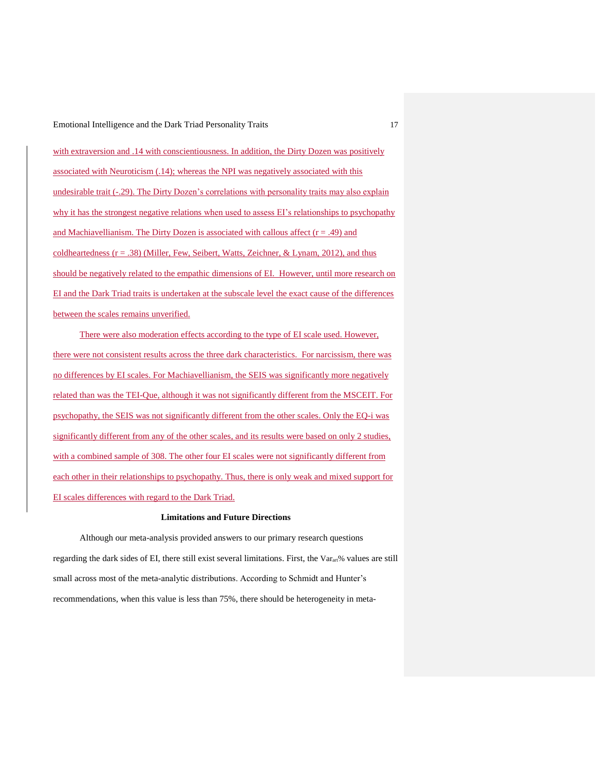with extraversion and .14 with conscientiousness. In addition, the Dirty Dozen was positively associated with Neuroticism (.14); whereas the NPI was negatively associated with this undesirable trait (-.29). The Dirty Dozen's correlations with personality traits may also explain why it has the strongest negative relations when used to assess EI's relationships to psychopathy and Machiavellianism. The Dirty Dozen is associated with callous affect  $(r = .49)$  and coldheartedness  $(r = .38)$  (Miller, Few, Seibert, Watts, Zeichner, & Lynam, 2012), and thus should be negatively related to the empathic dimensions of EI. However, until more research on EI and the Dark Triad traits is undertaken at the subscale level the exact cause of the differences between the scales remains unverified.

There were also moderation effects according to the type of EI scale used. However, there were not consistent results across the three dark characteristics. For narcissism, there was no differences by EI scales. For Machiavellianism, the SEIS was significantly more negatively related than was the TEI-Que, although it was not significantly different from the MSCEIT. For psychopathy, the SEIS was not significantly different from the other scales. Only the EQ-i was significantly different from any of the other scales, and its results were based on only 2 studies, with a combined sample of 308. The other four EI scales were not significantly different from each other in their relationships to psychopathy. Thus, there is only weak and mixed support for EI scales differences with regard to the Dark Triad.

### **Limitations and Future Directions**

Although our meta-analysis provided answers to our primary research questions regarding the dark sides of EI, there still exist several limitations. First, the  $Var_{art}$ % values are still small across most of the meta-analytic distributions. According to Schmidt and Hunter's recommendations, when this value is less than 75%, there should be heterogeneity in meta-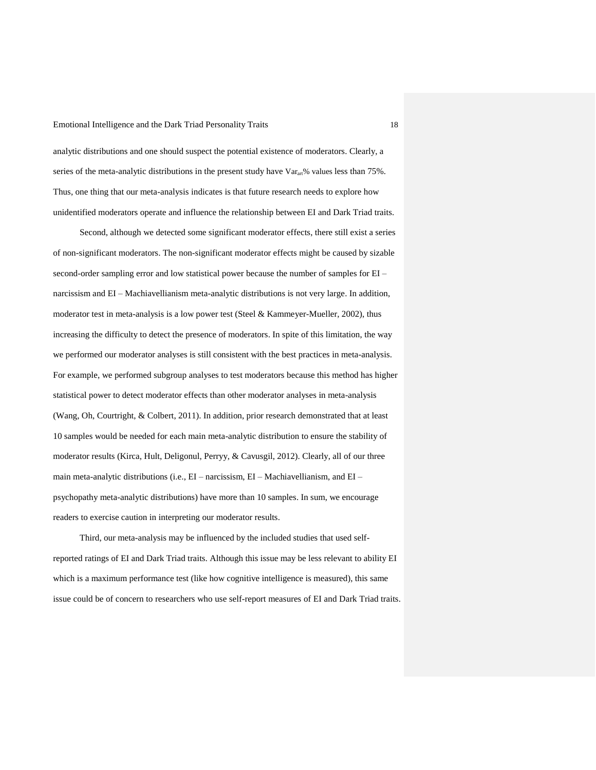analytic distributions and one should suspect the potential existence of moderators. Clearly, a series of the meta-analytic distributions in the present study have Var<sub>art</sub>% values less than 75%. Thus, one thing that our meta-analysis indicates is that future research needs to explore how unidentified moderators operate and influence the relationship between EI and Dark Triad traits.

Second, although we detected some significant moderator effects, there still exist a series of non-significant moderators. The non-significant moderator effects might be caused by sizable second-order sampling error and low statistical power because the number of samples for EI – narcissism and EI – Machiavellianism meta-analytic distributions is not very large. In addition, moderator test in meta-analysis is a low power test (Steel & Kammeyer-Mueller, 2002), thus increasing the difficulty to detect the presence of moderators. In spite of this limitation, the way we performed our moderator analyses is still consistent with the best practices in meta-analysis. For example, we performed subgroup analyses to test moderators because this method has higher statistical power to detect moderator effects than other moderator analyses in meta-analysis (Wang, Oh, Courtright, & Colbert, 2011). In addition, prior research demonstrated that at least 10 samples would be needed for each main meta-analytic distribution to ensure the stability of moderator results (Kirca, Hult, Deligonul, Perryy, & Cavusgil, 2012). Clearly, all of our three main meta-analytic distributions (i.e., EI – narcissism, EI – Machiavellianism, and EI – psychopathy meta-analytic distributions) have more than 10 samples. In sum, we encourage readers to exercise caution in interpreting our moderator results.

Third, our meta-analysis may be influenced by the included studies that used selfreported ratings of EI and Dark Triad traits. Although this issue may be less relevant to ability EI which is a maximum performance test (like how cognitive intelligence is measured), this same issue could be of concern to researchers who use self-report measures of EI and Dark Triad traits.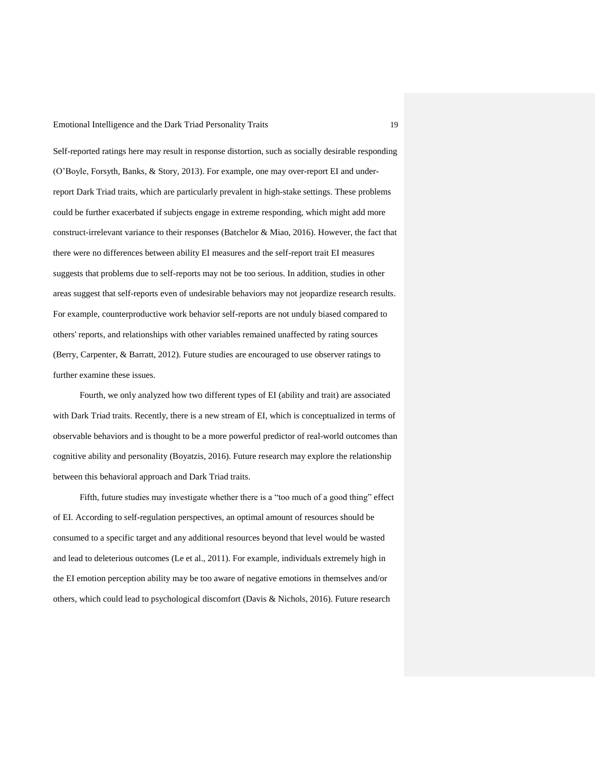Self-reported ratings here may result in response distortion, such as socially desirable responding (O'Boyle, Forsyth, Banks, & Story, 2013). For example, one may over-report EI and underreport Dark Triad traits, which are particularly prevalent in high-stake settings. These problems could be further exacerbated if subjects engage in extreme responding, which might add more construct-irrelevant variance to their responses (Batchelor & Miao, 2016). However, the fact that there were no differences between ability EI measures and the self-report trait EI measures suggests that problems due to self-reports may not be too serious. In addition, studies in other areas suggest that self-reports even of undesirable behaviors may not jeopardize research results. For example, counterproductive work behavior self-reports are not unduly biased compared to others' reports, and relationships with other variables remained unaffected by rating sources (Berry, Carpenter, & Barratt, 2012). Future studies are encouraged to use observer ratings to further examine these issues.

Fourth, we only analyzed how two different types of EI (ability and trait) are associated with Dark Triad traits. Recently, there is a new stream of EI, which is conceptualized in terms of observable behaviors and is thought to be a more powerful predictor of real-world outcomes than cognitive ability and personality (Boyatzis, 2016). Future research may explore the relationship between this behavioral approach and Dark Triad traits.

Fifth, future studies may investigate whether there is a "too much of a good thing" effect of EI. According to self-regulation perspectives, an optimal amount of resources should be consumed to a specific target and any additional resources beyond that level would be wasted and lead to deleterious outcomes (Le et al., 2011). For example, individuals extremely high in the EI emotion perception ability may be too aware of negative emotions in themselves and/or others, which could lead to psychological discomfort (Davis & Nichols, 2016). Future research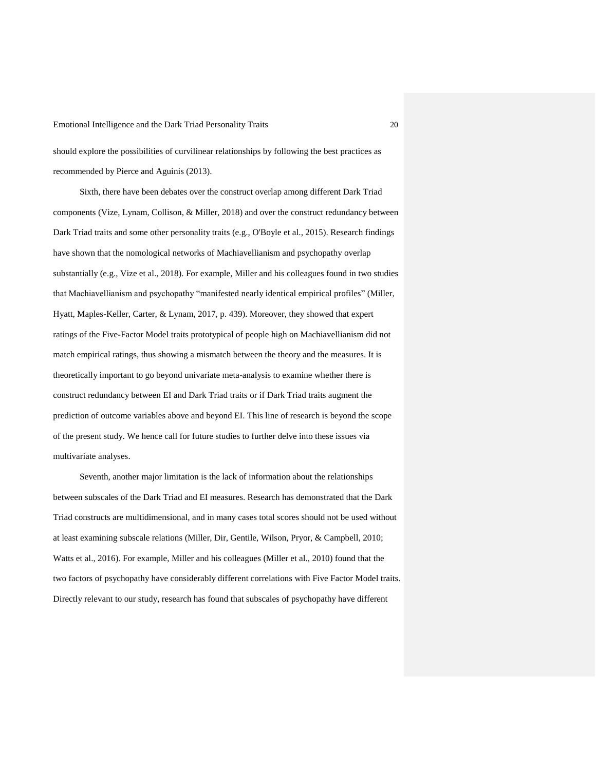should explore the possibilities of curvilinear relationships by following the best practices as recommended by Pierce and Aguinis (2013).

Sixth, there have been debates over the construct overlap among different Dark Triad components (Vize, Lynam, Collison, & Miller, 2018) and over the construct redundancy between Dark Triad traits and some other personality traits (e.g., O'Boyle et al., 2015). Research findings have shown that the nomological networks of Machiavellianism and psychopathy overlap substantially (e.g., Vize et al., 2018). For example, Miller and his colleagues found in two studies that Machiavellianism and psychopathy "manifested nearly identical empirical profiles" (Miller, Hyatt, Maples-Keller, Carter, & Lynam, 2017, p. 439). Moreover, they showed that expert ratings of the Five-Factor Model traits prototypical of people high on Machiavellianism did not match empirical ratings, thus showing a mismatch between the theory and the measures. It is theoretically important to go beyond univariate meta-analysis to examine whether there is construct redundancy between EI and Dark Triad traits or if Dark Triad traits augment the prediction of outcome variables above and beyond EI. This line of research is beyond the scope of the present study. We hence call for future studies to further delve into these issues via multivariate analyses.

Seventh, another major limitation is the lack of information about the relationships between subscales of the Dark Triad and EI measures. Research has demonstrated that the Dark Triad constructs are multidimensional, and in many cases total scores should not be used without at least examining subscale relations (Miller, Dir, Gentile, Wilson, Pryor, & Campbell, 2010; Watts et al., 2016). For example, Miller and his colleagues (Miller et al., 2010) found that the two factors of psychopathy have considerably different correlations with Five Factor Model traits. Directly relevant to our study, research has found that subscales of psychopathy have different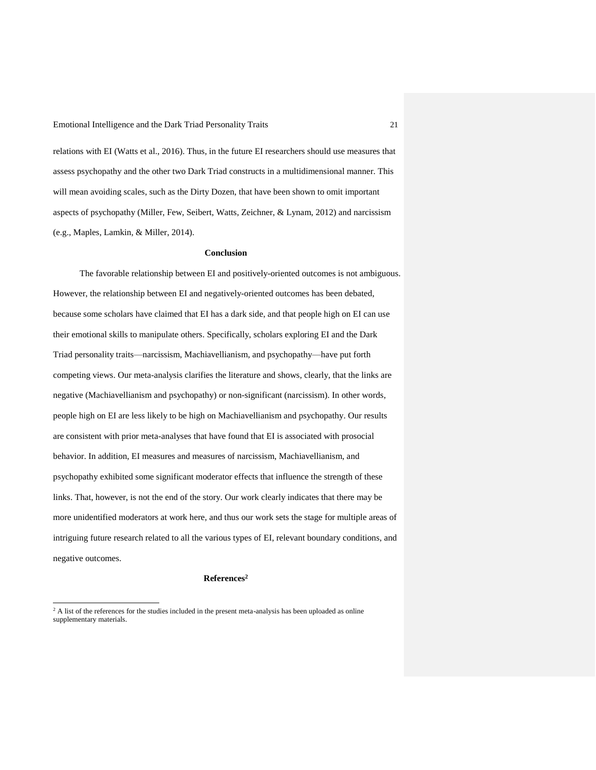relations with EI (Watts et al., 2016). Thus, in the future EI researchers should use measures that assess psychopathy and the other two Dark Triad constructs in a multidimensional manner. This will mean avoiding scales, such as the Dirty Dozen, that have been shown to omit important aspects of psychopathy (Miller, Few, Seibert, Watts, Zeichner, & Lynam, 2012) and narcissism (e.g., Maples, Lamkin, & Miller, 2014).

## **Conclusion**

The favorable relationship between EI and positively-oriented outcomes is not ambiguous. However, the relationship between EI and negatively-oriented outcomes has been debated, because some scholars have claimed that EI has a dark side, and that people high on EI can use their emotional skills to manipulate others. Specifically, scholars exploring EI and the Dark Triad personality traits—narcissism, Machiavellianism, and psychopathy—have put forth competing views. Our meta-analysis clarifies the literature and shows, clearly, that the links are negative (Machiavellianism and psychopathy) or non-significant (narcissism). In other words, people high on EI are less likely to be high on Machiavellianism and psychopathy. Our results are consistent with prior meta-analyses that have found that EI is associated with prosocial behavior. In addition, EI measures and measures of narcissism, Machiavellianism, and psychopathy exhibited some significant moderator effects that influence the strength of these links. That, however, is not the end of the story. Our work clearly indicates that there may be more unidentified moderators at work here, and thus our work sets the stage for multiple areas of intriguing future research related to all the various types of EI, relevant boundary conditions, and negative outcomes.

# **References<sup>2</sup>**

 $\overline{a}$ 

<sup>&</sup>lt;sup>2</sup> A list of the references for the studies included in the present meta-analysis has been uploaded as online supplementary materials.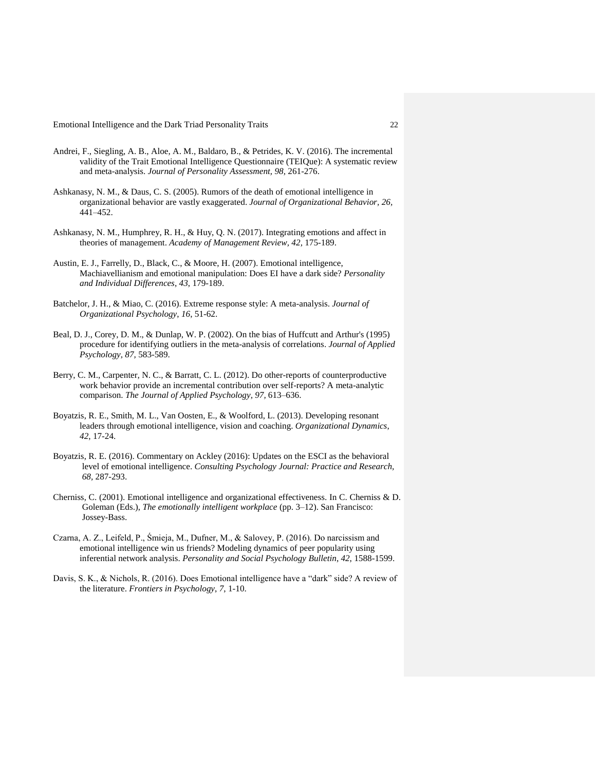- Andrei, F., Siegling, A. B., Aloe, A. M., Baldaro, B., & Petrides, K. V. (2016). The incremental validity of the Trait Emotional Intelligence Questionnaire (TEIQue): A systematic review and meta-analysis. *Journal of Personality Assessment, 98,* 261-276.
- Ashkanasy, N. M., & Daus, C. S. (2005). Rumors of the death of emotional intelligence in organizational behavior are vastly exaggerated. *Journal of Organizational Behavior, 26,* 441–452.
- Ashkanasy, N. M., Humphrey, R. H., & Huy, Q. N. (2017). Integrating emotions and affect in theories of management. *Academy of Management Review, 42,* 175-189.
- Austin, E. J., Farrelly, D., Black, C., & Moore, H. (2007). Emotional intelligence, Machiavellianism and emotional manipulation: Does EI have a dark side? *Personality and Individual Differences*, *43*, 179-189.
- Batchelor, J. H., & Miao, C. (2016). Extreme response style: A meta-analysis. *Journal of Organizational Psychology*, *16*, 51-62.
- Beal, D. J., Corey, D. M., & Dunlap, W. P. (2002). On the bias of Huffcutt and Arthur's (1995) procedure for identifying outliers in the meta-analysis of correlations. *Journal of Applied Psychology, 87,* 583-589.
- Berry, C. M., Carpenter, N. C., & Barratt, C. L. (2012). Do other-reports of counterproductive work behavior provide an incremental contribution over self-reports? A meta-analytic comparison. *The Journal of Applied Psychology, 97,* 613–636.
- Boyatzis, R. E., Smith, M. L., Van Oosten, E., & Woolford, L. (2013). Developing resonant leaders through emotional intelligence, vision and coaching. *Organizational Dynamics*, *42*, 17-24.
- Boyatzis, R. E. (2016). Commentary on Ackley (2016): Updates on the ESCI as the behavioral level of emotional intelligence. *Consulting Psychology Journal: Practice and Research, 68,* 287-293.
- Cherniss, C. (2001). Emotional intelligence and organizational effectiveness. In C. Cherniss & D. Goleman (Eds.), *The emotionally intelligent workplace* (pp. 3–12). San Francisco: Jossey-Bass.
- Czarna, A. Z., Leifeld, P., Śmieja, M., Dufner, M., & Salovey, P. (2016). Do narcissism and emotional intelligence win us friends? Modeling dynamics of peer popularity using inferential network analysis. *Personality and Social Psychology Bulletin*, *42*, 1588-1599.
- Davis, S. K., & Nichols, R. (2016). Does Emotional intelligence have a "dark" side? A review of the literature. *Frontiers in Psychology*, *7*, 1-10.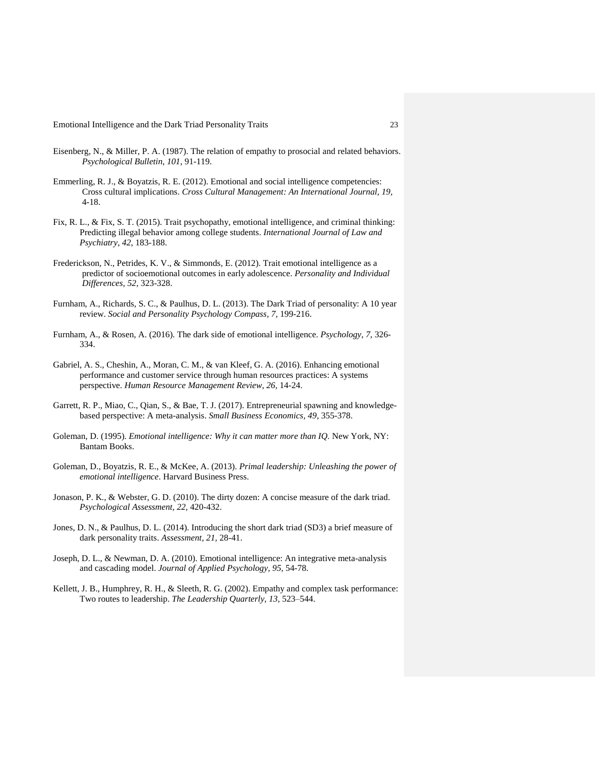- Eisenberg, N., & Miller, P. A. (1987). The relation of empathy to prosocial and related behaviors. *Psychological Bulletin*, *101*, 91-119.
- Emmerling, R. J., & Boyatzis, R. E. (2012). Emotional and social intelligence competencies: Cross cultural implications. *Cross Cultural Management: An International Journal, 19,* 4-18.
- Fix, R. L., & Fix, S. T. (2015). Trait psychopathy, emotional intelligence, and criminal thinking: Predicting illegal behavior among college students. *International Journal of Law and Psychiatry*, *42*, 183-188.
- Frederickson, N., Petrides, K. V., & Simmonds, E. (2012). Trait emotional intelligence as a predictor of socioemotional outcomes in early adolescence. *Personality and Individual Differences, 52,* 323-328.
- Furnham, A., Richards, S. C., & Paulhus, D. L. (2013). The Dark Triad of personality: A 10 year review. *Social and Personality Psychology Compass, 7,* 199-216.
- Furnham, A., & Rosen, A. (2016). The dark side of emotional intelligence. *Psychology*, *7*, 326- 334.
- Gabriel, A. S., Cheshin, A., Moran, C. M., & van Kleef, G. A. (2016). Enhancing emotional performance and customer service through human resources practices: A systems perspective. *Human Resource Management Review, 26,* 14-24.
- Garrett, R. P., Miao, C., Qian, S., & Bae, T. J. (2017). Entrepreneurial spawning and knowledgebased perspective: A meta-analysis. *Small Business Economics, 49,* 355-378.
- Goleman, D. (1995). *Emotional intelligence: Why it can matter more than IQ.* New York, NY: Bantam Books.
- Goleman, D., Boyatzis, R. E., & McKee, A. (2013). *Primal leadership: Unleashing the power of emotional intelligence*. Harvard Business Press.
- Jonason, P. K., & Webster, G. D. (2010). The dirty dozen: A concise measure of the dark triad. *Psychological Assessment, 22,* 420-432.
- Jones, D. N., & Paulhus, D. L. (2014). Introducing the short dark triad (SD3) a brief measure of dark personality traits. *Assessment, 21,* 28-41.
- Joseph, D. L., & Newman, D. A. (2010). Emotional intelligence: An integrative meta-analysis and cascading model. *Journal of Applied Psychology, 95,* 54-78.
- Kellett, J. B., Humphrey, R. H., & Sleeth, R. G. (2002). Empathy and complex task performance: Two routes to leadership. *The Leadership Quarterly*, *13*, 523–544.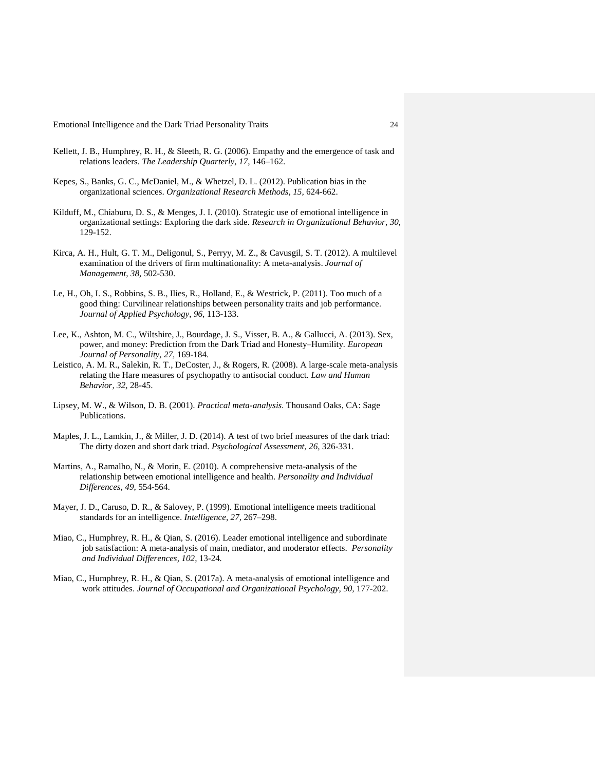- Kellett, J. B., Humphrey, R. H., & Sleeth, R. G. (2006). Empathy and the emergence of task and relations leaders. *The Leadership Quarterly*, *17*, 146–162.
- Kepes, S., Banks, G. C., McDaniel, M., & Whetzel, D. L. (2012). Publication bias in the organizational sciences. *Organizational Research Methods, 15,* 624-662.
- Kilduff, M., Chiaburu, D. S., & Menges, J. I. (2010). Strategic use of emotional intelligence in organizational settings: Exploring the dark side. *Research in Organizational Behavior*, *30*, 129-152.
- Kirca, A. H., Hult, G. T. M., Deligonul, S., Perryy, M. Z., & Cavusgil, S. T. (2012). A multilevel examination of the drivers of firm multinationality: A meta-analysis. *Journal of Management, 38,* 502-530.
- Le, H., Oh, I. S., Robbins, S. B., Ilies, R., Holland, E., & Westrick, P. (2011). Too much of a good thing: Curvilinear relationships between personality traits and job performance. *Journal of Applied Psychology*, *96*, 113-133.
- Lee, K., Ashton, M. C., Wiltshire, J., Bourdage, J. S., Visser, B. A., & Gallucci, A. (2013). Sex, power, and money: Prediction from the Dark Triad and Honesty–Humility*. European Journal of Personality, 27,* 169-184.
- Leistico, A. M. R., Salekin, R. T., DeCoster, J., & Rogers, R. (2008). A large-scale meta-analysis relating the Hare measures of psychopathy to antisocial conduct. *Law and Human Behavior, 32,* 28-45.
- Lipsey, M. W., & Wilson, D. B. (2001). *Practical meta-analysis.* Thousand Oaks, CA: Sage Publications.
- Maples, J. L., Lamkin, J., & Miller, J. D. (2014). A test of two brief measures of the dark triad: The dirty dozen and short dark triad. *Psychological Assessment, 26,* 326-331.
- Martins, A., Ramalho, N., & Morin, E. (2010). A comprehensive meta-analysis of the relationship between emotional intelligence and health. *Personality and Individual Differences*, *49*, 554-564.
- Mayer, J. D., Caruso, D. R., & Salovey, P. (1999). Emotional intelligence meets traditional standards for an intelligence. *Intelligence, 27,* 267–298.
- Miao, C., Humphrey, R. H., & Qian, S. (2016). Leader emotional intelligence and subordinate job satisfaction: A meta-analysis of main, mediator, and moderator effects. *Personality and Individual Differences, 102,* 13-24*.*
- Miao, C., Humphrey, R. H., & Qian, S. (2017a). A meta-analysis of emotional intelligence and work attitudes. *Journal of Occupational and Organizational Psychology, 90,* 177-202.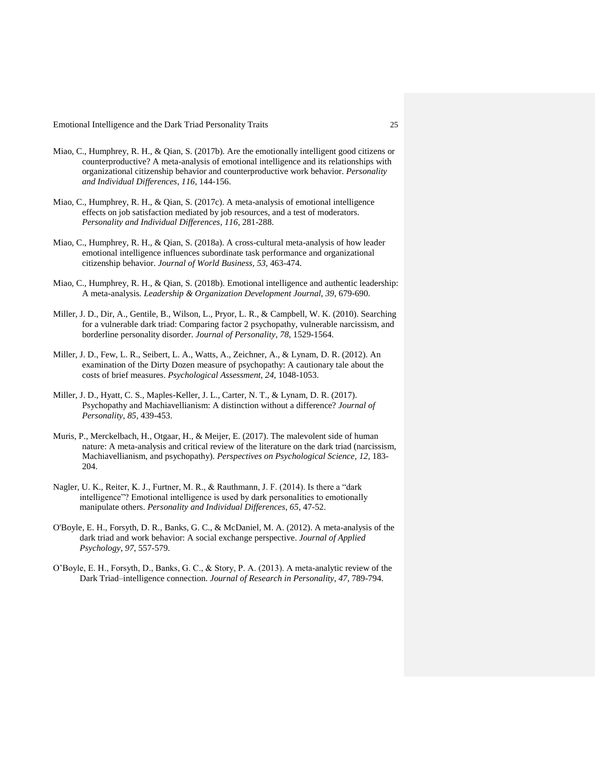- Miao, C., Humphrey, R. H., & Qian, S. (2017b). Are the emotionally intelligent good citizens or counterproductive? A meta-analysis of emotional intelligence and its relationships with organizational citizenship behavior and counterproductive work behavior. *Personality and Individual Differences, 116,* 144-156.
- Miao, C., Humphrey, R. H., & Qian, S. (2017c). A meta-analysis of emotional intelligence effects on job satisfaction mediated by job resources, and a test of moderators. *Personality and Individual Differences, 116,* 281-288.
- Miao, C., Humphrey, R. H., & Qian, S. (2018a). A cross-cultural meta-analysis of how leader emotional intelligence influences subordinate task performance and organizational citizenship behavior. *Journal of World Business, 53,* 463-474.
- Miao, C., Humphrey, R. H., & Qian, S. (2018b). Emotional intelligence and authentic leadership: A meta-analysis*. Leadership & Organization Development Journal, 39,* 679-690.
- Miller, J. D., Dir, A., Gentile, B., Wilson, L., Pryor, L. R., & Campbell, W. K. (2010). Searching for a vulnerable dark triad: Comparing factor 2 psychopathy, vulnerable narcissism, and borderline personality disorder. *Journal of Personality, 78,* 1529-1564.
- Miller, J. D., Few, L. R., Seibert, L. A., Watts, A., Zeichner, A., & Lynam, D. R. (2012). An examination of the Dirty Dozen measure of psychopathy: A cautionary tale about the costs of brief measures. *Psychological Assessment, 24,* 1048-1053.
- Miller, J. D., Hyatt, C. S., Maples-Keller, J. L., Carter, N. T., & Lynam, D. R. (2017). Psychopathy and Machiavellianism: A distinction without a difference? *Journal of Personality, 85,* 439-453.
- Muris, P., Merckelbach, H., Otgaar, H., & Meijer, E. (2017). The malevolent side of human nature: A meta-analysis and critical review of the literature on the dark triad (narcissism, Machiavellianism, and psychopathy). *Perspectives on Psychological Science, 12,* 183- 204.
- Nagler, U. K., Reiter, K. J., Furtner, M. R., & Rauthmann, J. F. (2014). Is there a "dark intelligence"? Emotional intelligence is used by dark personalities to emotionally manipulate others. *Personality and Individual Differences*, *65*, 47-52.
- O'Boyle, E. H., Forsyth, D. R., Banks, G. C., & McDaniel, M. A. (2012). A meta-analysis of the dark triad and work behavior: A social exchange perspective. *Journal of Applied Psychology*, *97*, 557-579.
- O'Boyle, E. H., Forsyth, D., Banks, G. C., & Story, P. A. (2013). A meta-analytic review of the Dark Triad–intelligence connection. *Journal of Research in Personality*, *47*, 789-794.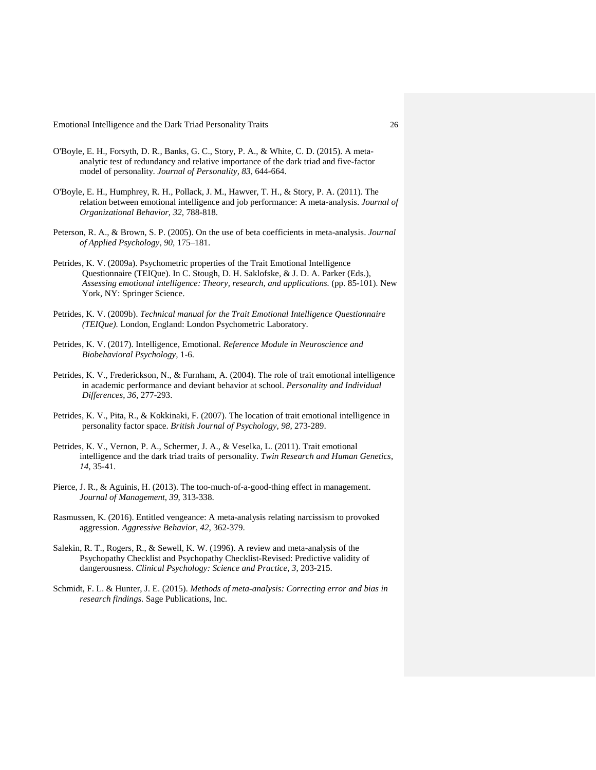- O'Boyle, E. H., Forsyth, D. R., Banks, G. C., Story, P. A., & White, C. D. (2015). A metaanalytic test of redundancy and relative importance of the dark triad and five-factor model of personality. *Journal of Personality, 83,* 644-664.
- O'Boyle, E. H., Humphrey, R. H., Pollack, J. M., Hawver, T. H., & Story, P. A. (2011). The relation between emotional intelligence and job performance: A meta-analysis. *Journal of Organizational Behavior, 32,* 788-818.
- Peterson, R. A., & Brown, S. P. (2005). On the use of beta coefficients in meta-analysis. *Journal of Applied Psychology, 90,* 175–181.
- Petrides, K. V. (2009a). Psychometric properties of the Trait Emotional Intelligence Questionnaire (TEIQue). In C. Stough, D. H. Saklofske, & J. D. A. Parker (Eds.), *Assessing emotional intelligence: Theory, research, and applications.* (pp. 85-101). New York, NY: Springer Science.
- Petrides, K. V. (2009b). *Technical manual for the Trait Emotional Intelligence Questionnaire (TEIQue).* London, England: London Psychometric Laboratory.
- Petrides, K. V. (2017). Intelligence, Emotional. *Reference Module in Neuroscience and Biobehavioral Psychology,* 1-6.
- Petrides, K. V., Frederickson, N., & Furnham, A. (2004). The role of trait emotional intelligence in academic performance and deviant behavior at school. *Personality and Individual Differences*, *36,* 277-293.
- Petrides, K. V., Pita, R., & Kokkinaki, F. (2007). The location of trait emotional intelligence in personality factor space. *British Journal of Psychology, 98,* 273-289.
- Petrides, K. V., Vernon, P. A., Schermer, J. A., & Veselka, L. (2011). Trait emotional intelligence and the dark triad traits of personality. *Twin Research and Human Genetics*, *14*, 35-41.
- Pierce, J. R., & Aguinis, H. (2013). The too-much-of-a-good-thing effect in management. *Journal of Management*, *39*, 313-338.
- Rasmussen, K. (2016). Entitled vengeance: A meta-analysis relating narcissism to provoked aggression. *Aggressive Behavior, 42,* 362-379.
- Salekin, R. T., Rogers, R., & Sewell, K. W. (1996). A review and meta-analysis of the Psychopathy Checklist and Psychopathy Checklist-Revised: Predictive validity of dangerousness. *Clinical Psychology: Science and Practice, 3,* 203-215.
- Schmidt, F. L. & Hunter, J. E. (2015). *Methods of meta-analysis: Correcting error and bias in research findings.* Sage Publications, Inc.